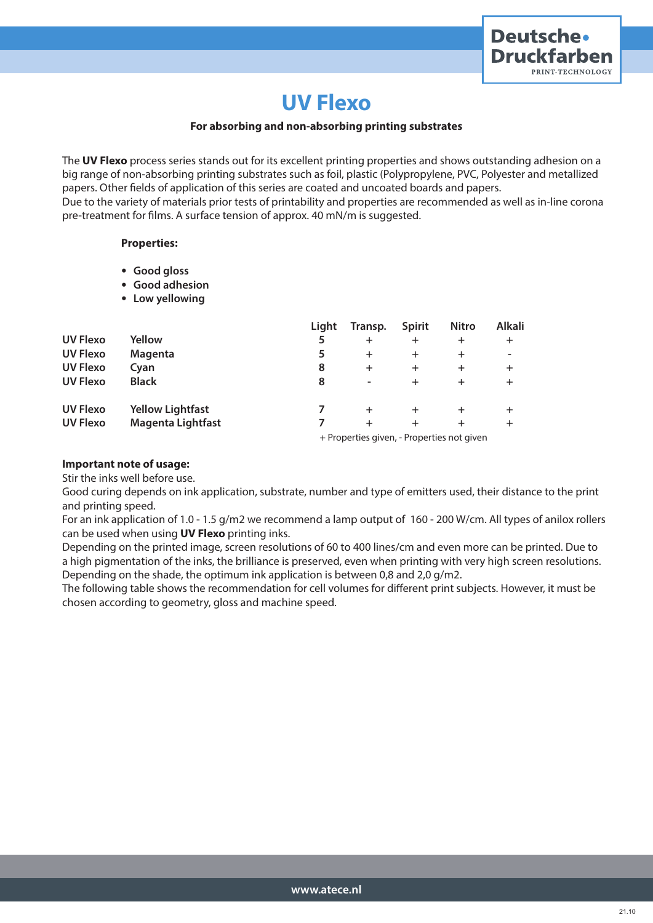

# **UV Flexo**

### **For absorbing and non-absorbing printing substrates**

The **UV Flexo** process series stands out for its excellent printing properties and shows outstanding adhesion on a big range of non-absorbing printing substrates such as foil, plastic (Polypropylene, PVC, Polyester and metallized papers. Other fields of application of this series are coated and uncoated boards and papers. Due to the variety of materials prior tests of printability and properties are recommended as well as in-line corona pre-treatment for films. A surface tension of approx. 40 mN/m is suggested.

#### **Properties:**

- **Good gloss**
- **Good adhesion**
- **Low yellowing**

|                 |                          | Light | Transp.                                    | <b>Spirit</b> | <b>Nitro</b> | <b>Alkali</b> |  |  |
|-----------------|--------------------------|-------|--------------------------------------------|---------------|--------------|---------------|--|--|
| <b>UV Flexo</b> | Yellow                   |       | +                                          | $\pm$         | $\pm$        | $\pm$         |  |  |
| <b>UV Flexo</b> | Magenta                  | 5     | +                                          | ÷             | $\pm$        |               |  |  |
| <b>UV Flexo</b> | Cyan                     | 8     | $\ddot{}$                                  | $\pm$         | $\pm$        | $\pm$         |  |  |
| <b>UV Flexo</b> | <b>Black</b>             | 8     | ۰                                          | ÷             | +            | $\ddot{}$     |  |  |
| <b>UV Flexo</b> | <b>Yellow Lightfast</b>  |       | +                                          | $\pm$         | $\pm$        |               |  |  |
| <b>UV Flexo</b> | <b>Magenta Lightfast</b> |       | $\div$                                     |               | +            | ÷             |  |  |
|                 |                          |       | + Properties given, - Properties not given |               |              |               |  |  |

## **Important note of usage:**

Stir the inks well before use.

Good curing depends on ink application, substrate, number and type of emitters used, their distance to the print and printing speed.

For an ink application of 1.0 - 1.5 g/m2 we recommend a lamp output of 160 - 200 W/cm. All types of anilox rollers can be used when using **UV Flexo** printing inks.

Depending on the printed image, screen resolutions of 60 to 400 lines/cm and even more can be printed. Due to a high pigmentation of the inks, the brilliance is preserved, even when printing with very high screen resolutions. Depending on the shade, the optimum ink application is between 0,8 and 2,0 g/m2.

The following table shows the recommendation for cell volumes for different print subjects. However, it must be chosen according to geometry, gloss and machine speed.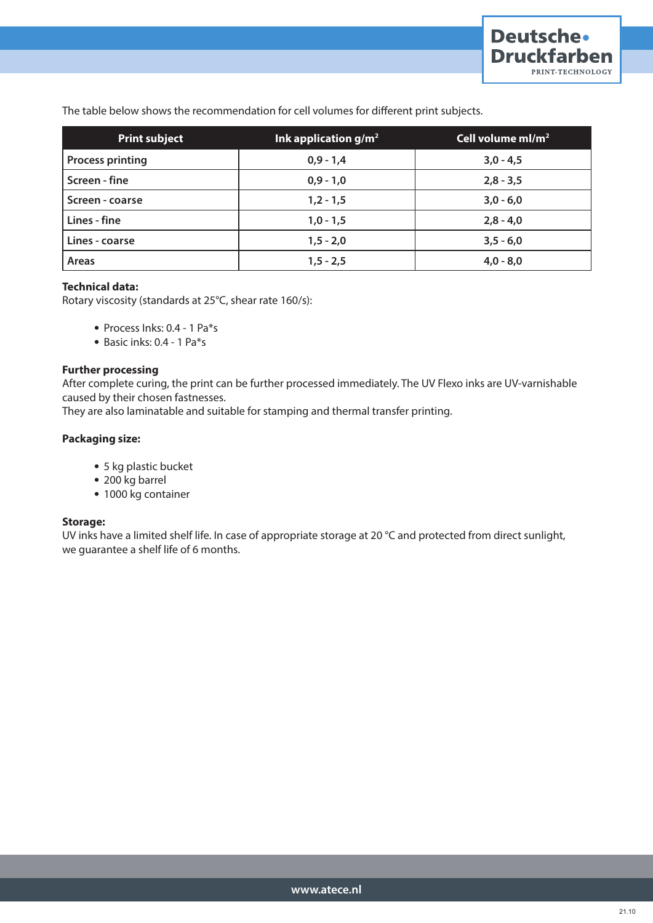The table below shows the recommendation for cell volumes for different print subjects.

| <b>Print subject</b>    | Ink application $g/m^2$ | Cell volume $ml/m^2$ |
|-------------------------|-------------------------|----------------------|
| <b>Process printing</b> | $0,9 - 1,4$             | $3,0 - 4,5$          |
| Screen - fine           | $0,9 - 1,0$             | $2,8 - 3,5$          |
| Screen - coarse         | $1,2 - 1,5$             | $3,0 - 6,0$          |
| Lines - fine            | $1,0 - 1,5$             | $2,8 - 4,0$          |
| Lines - coarse          | $1, 5 - 2, 0$           | $3,5 - 6,0$          |
| Areas                   | $1, 5 - 2, 5$           | $4,0 - 8,0$          |

# **Technical data:**

Rotary viscosity (standards at 25°C, shear rate 160/s):

- Process Inks: 0.4 1 Pa\*s
- Basic inks: 0.4 1 Pa\*s

#### **Further processing**

After complete curing, the print can be further processed immediately. The UV Flexo inks are UV-varnishable caused by their chosen fastnesses.

They are also laminatable and suitable for stamping and thermal transfer printing.

# **Packaging size:**

- 5 kg plastic bucket
- 200 kg barrel
- 1000 kg container

## **Storage:**

UV inks have a limited shelf life. In case of appropriate storage at 20 °C and protected from direct sunlight, we guarantee a shelf life of 6 months.